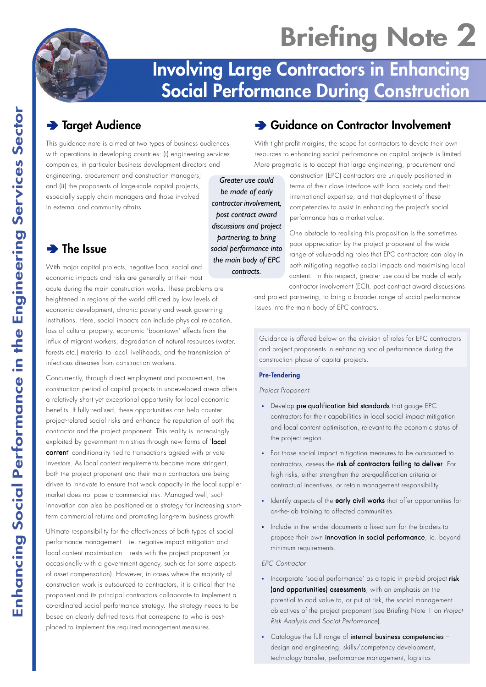# **Briefing Note 2**

## **Involving Large Contractors in Enhancing Social Performance During Construction**

## Ä **Target Audience**

This guidance note is aimed at two types of business audiences with operations in developing countries: (i) engineering services companies, in particular business development directors and

engineering, procurement and construction managers; and (ii) the proponents of large-scale capital projects, especially supply chain managers and those involved in external and community affairs.

## Ä **The Issue**

With major capital projects, negative local social and economic impacts and risks are generally at their most acute during the main construction works. These problems are heightened in regions of the world afflicted by low levels of economic development, chronic poverty and weak governing institutions. Here, social impacts can include physical relocation, loss of cultural property, economic 'boomtown' effects from the influx of migrant workers, degradation of natural resources (water, forests etc.) material to local livelihoods, and the transmission of infectious diseases from construction workers.

Concurrently, through direct employment and procurement, the construction period of capital projects in undeveloped areas offers a relatively short yet exceptional opportunity for local economic benefits. If fully realised, these opportunities can help counter project-related social risks and enhance the reputation of both the contractor and the project proponent. This reality is increasingly exploited by government ministries through new forms of 'local content' conditionality tied to transactions agreed with private investors. As local content requirements become more stringent, both the project proponent and their main contractors are being driven to innovate to ensure that weak capacity in the local supplier market does not pose a commercial risk. Managed well, such innovation can also be positioned as a strategy for increasing shortterm commercial returns and promoting long-term business growth.

Ultimate responsibility for the effectiveness of both types of social performance management – ie. negative impact mitigation and local content maximisation – rests with the project proponent (or occasionally with a government agency, such as for some aspects of asset compensation). However, in cases where the majority of construction work is outsourced to contractors, it is critical that the proponent and its principal contractors collaborate to implement a co-ordinated social performance strategy. The strategy needs to be based on clearly defined tasks that correspond to who is bestplaced to implement the required management measures.

## Ä **Guidance on Contractor Involvement**

With tight profit margins, the scope for contractors to devote their own resources to enhancing social performance on capital projects is limited. More pragmatic is to accept that large engineering, procurement and

*Greater use could be made of early contractor involvement, post contract award discussions and project partnering, to bring social performance into the main body of EPC contracts.*

### construction (EPC) contractors are uniquely positioned in terms of their close interface with local society and their international expertise, and that deployment of these competencies to assist in enhancing the project's social performance has a market value.

One obstacle to realising this proposition is the sometimes poor appreciation by the project proponent of the wide range of value-adding roles that EPC contractors can play in both mitigating negative social impacts and maximising local content. In this respect, greater use could be made of early contractor involvement (ECI), post contract award discussions

and project partnering, to bring a broader range of social performance issues into the main body of EPC contracts.

Guidance is offered below on the division of roles for EPC contractors and project proponents in enhancing social performance during the construction phase of capital projects.

#### **Pre-Tendering**

#### Project Proponent

- Develop pre-qualification bid standards that gauge EPC contractors for their capabilities in local social impact mitigation and local content optimisation, relevant to the economic status of the project region.
- **·** For those social impact mitigation measures to be outsourced to contractors, assess the risk of contractors failing to deliver. For high risks, either strengthen the pre-qualification criteria or contractual incentives, or retain management responsibility.
- **·** Identify aspects of the early civil works that offer opportunities for on-the-job training to affected communities.
- **·** Include in the tender documents a fixed sum for the bidders to propose their own innovation in social performance, ie. beyond minimum requirements.

#### EPC Contractor

- **·** Incorporate 'social performance' as a topic in pre-bid project risk (and opportunities) assessments, with an emphasis on the potential to add value to, or put at risk, the social management objectives of the project proponent (see Briefing Note 1 on Project Risk Analysis and Social Performance).
- Catalogue the full range of internal business competencies design and engineering, skills/competency development, technology transfer, performance management, logistics